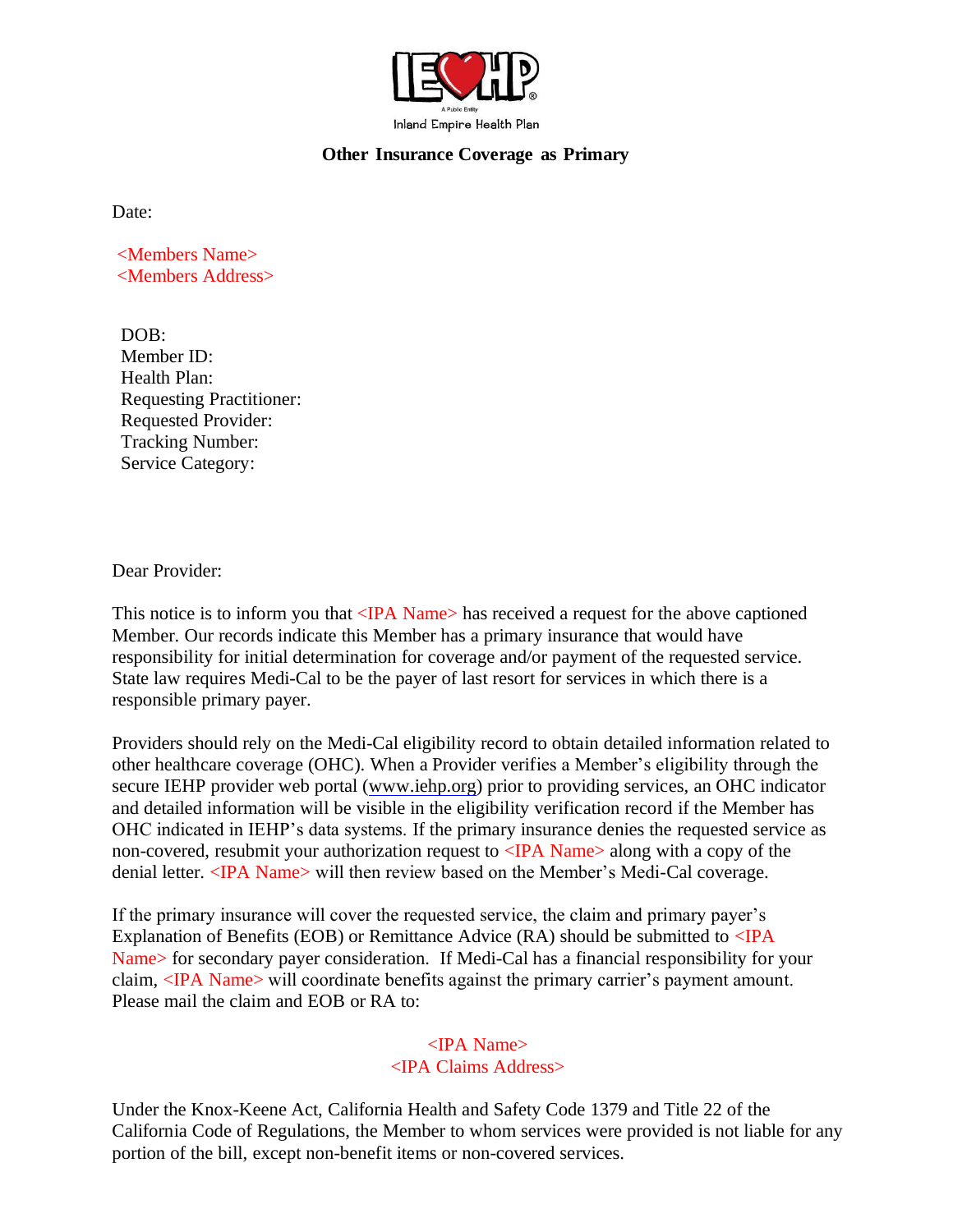

## **Other Insurance Coverage as Primary**

Date:

<Members Name> <Members Address>

DOB: Member ID: Health Plan: Requesting Practitioner: Requested Provider: Tracking Number: Service Category:

Dear Provider:

This notice is to inform you that <IPA Name> has received a request for the above captioned Member. Our records indicate this Member has a primary insurance that would have responsibility for initial determination for coverage and/or payment of the requested service. State law requires Medi-Cal to be the payer of last resort for services in which there is a responsible primary payer.

Providers should rely on the Medi-Cal eligibility record to obtain detailed information related to other healthcare coverage (OHC). When a Provider verifies a Member's eligibility through the secure IEHP provider web portal [\(www.iehp.org\)](http://www.iehp.org/) prior to providing services, an OHC indicator and detailed information will be visible in the eligibility verification record if the Member has OHC indicated in IEHP's data systems. If the primary insurance denies the requested service as non-covered, resubmit your authorization request to  $\langle$ IPA Name $\rangle$  along with a copy of the denial letter. <IPA Name> will then review based on the Member's Medi-Cal coverage.

If the primary insurance will cover the requested service, the claim and primary payer's Explanation of Benefits (EOB) or Remittance Advice (RA) should be submitted to  $\langle$  IPA Name> for secondary payer consideration. If Medi-Cal has a financial responsibility for your claim, <IPA Name> will coordinate benefits against the primary carrier's payment amount. Please mail the claim and EOB or RA to:

## <IPA Name> <IPA Claims Address>

Under the Knox-Keene Act, California Health and Safety Code 1379 and Title 22 of the California Code of Regulations, the Member to whom services were provided is not liable for any portion of the bill, except non-benefit items or non-covered services.